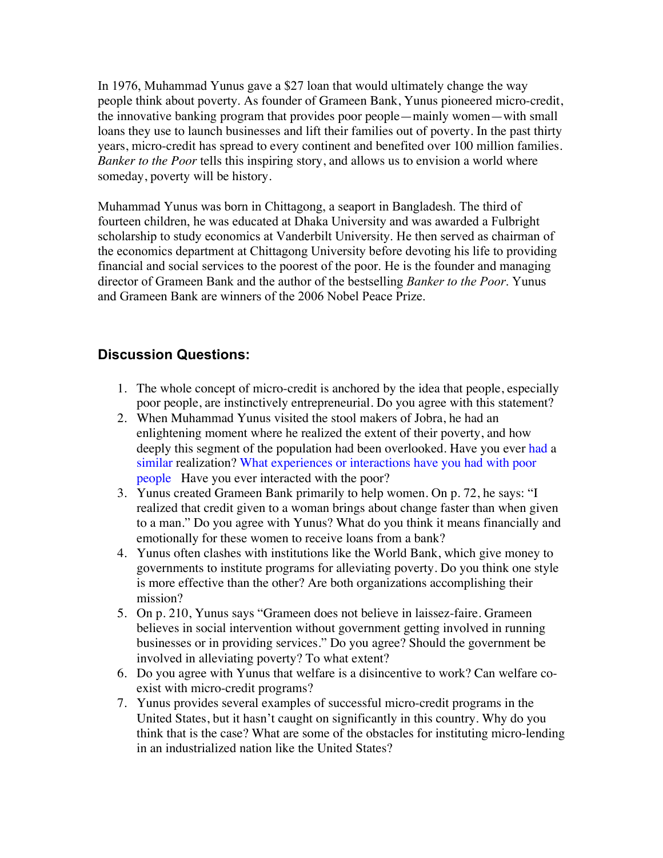In 1976, Muhammad Yunus gave a \$27 loan that would ultimately change the way people think about poverty. As founder of Grameen Bank, Yunus pioneered micro-credit, the innovative banking program that provides poor people—mainly women—with small loans they use to launch businesses and lift their families out of poverty. In the past thirty years, micro-credit has spread to every continent and benefited over 100 million families. *Banker to the Poor* tells this inspiring story, and allows us to envision a world where someday, poverty will be history.

Muhammad Yunus was born in Chittagong, a seaport in Bangladesh. The third of fourteen children, he was educated at Dhaka University and was awarded a Fulbright scholarship to study economics at Vanderbilt University. He then served as chairman of the economics department at Chittagong University before devoting his life to providing financial and social services to the poorest of the poor. He is the founder and managing director of Grameen Bank and the author of the bestselling *Banker to the Poor*. Yunus and Grameen Bank are winners of the 2006 Nobel Peace Prize.

## **Discussion Questions:**

- 1. The whole concept of micro-credit is anchored by the idea that people, especially poor people, are instinctively entrepreneurial. Do you agree with this statement?
- 2. When Muhammad Yunus visited the stool makers of Jobra, he had an enlightening moment where he realized the extent of their poverty, and how deeply this segment of the population had been overlooked. Have you ever had a similar realization? What experiences or interactions have you had with poor people Have you ever interacted with the poor?
- 3. Yunus created Grameen Bank primarily to help women. On p. 72, he says: "I realized that credit given to a woman brings about change faster than when given to a man." Do you agree with Yunus? What do you think it means financially and emotionally for these women to receive loans from a bank?
- 4. Yunus often clashes with institutions like the World Bank, which give money to governments to institute programs for alleviating poverty. Do you think one style is more effective than the other? Are both organizations accomplishing their mission?
- 5. On p. 210, Yunus says "Grameen does not believe in laissez-faire. Grameen believes in social intervention without government getting involved in running businesses or in providing services." Do you agree? Should the government be involved in alleviating poverty? To what extent?
- 6. Do you agree with Yunus that welfare is a disincentive to work? Can welfare coexist with micro-credit programs?
- 7. Yunus provides several examples of successful micro-credit programs in the United States, but it hasn't caught on significantly in this country. Why do you think that is the case? What are some of the obstacles for instituting micro-lending in an industrialized nation like the United States?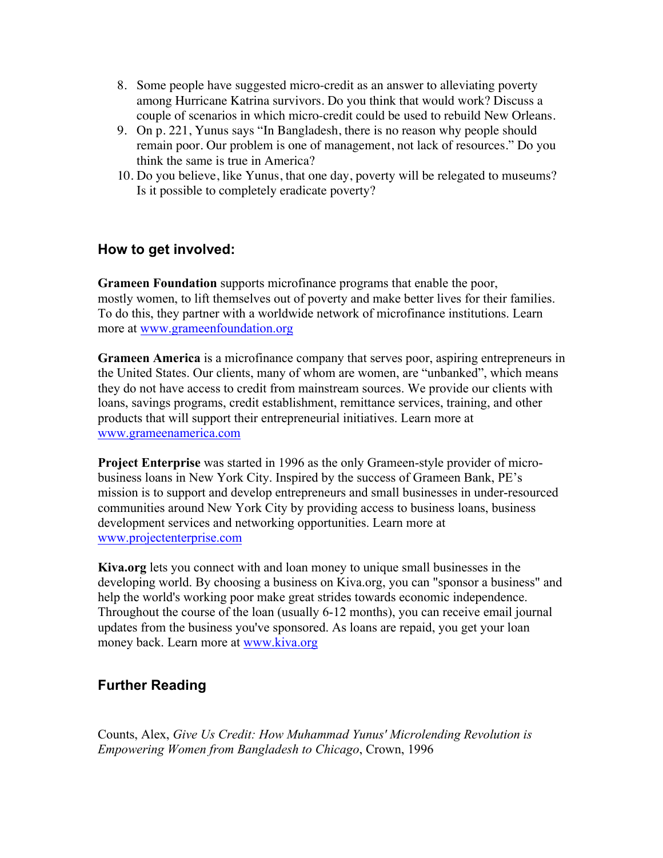- 8. Some people have suggested micro-credit as an answer to alleviating poverty among Hurricane Katrina survivors. Do you think that would work? Discuss a couple of scenarios in which micro-credit could be used to rebuild New Orleans.
- 9. On p. 221, Yunus says "In Bangladesh, there is no reason why people should remain poor. Our problem is one of management, not lack of resources." Do you think the same is true in America?
- 10. Do you believe, like Yunus, that one day, poverty will be relegated to museums? Is it possible to completely eradicate poverty?

## **How to get involved:**

**Grameen Foundation** supports microfinance programs that enable the poor, mostly women, to lift themselves out of poverty and make better lives for their families. To do this, they partner with a worldwide network of microfinance institutions. Learn more at www.grameenfoundation.org

**Grameen America** is a microfinance company that serves poor, aspiring entrepreneurs in the United States. Our clients, many of whom are women, are "unbanked", which means they do not have access to credit from mainstream sources. We provide our clients with loans, savings programs, credit establishment, remittance services, training, and other products that will support their entrepreneurial initiatives. Learn more at www.grameenamerica.com

**Project Enterprise** was started in 1996 as the only Grameen-style provider of microbusiness loans in New York City. Inspired by the success of Grameen Bank, PE's mission is to support and develop entrepreneurs and small businesses in under-resourced communities around New York City by providing access to business loans, business development services and networking opportunities. Learn more at www.projectenterprise.com

**Kiva.org** lets you connect with and loan money to unique small businesses in the developing world. By choosing a business on Kiva.org, you can "sponsor a business" and help the world's working poor make great strides towards economic independence. Throughout the course of the loan (usually 6-12 months), you can receive email journal updates from the business you've sponsored. As loans are repaid, you get your loan money back. Learn more at www.kiva.org

## **Further Reading**

Counts, Alex, *Give Us Credit: How Muhammad Yunus' Microlending Revolution is Empowering Women from Bangladesh to Chicago*, Crown, 1996